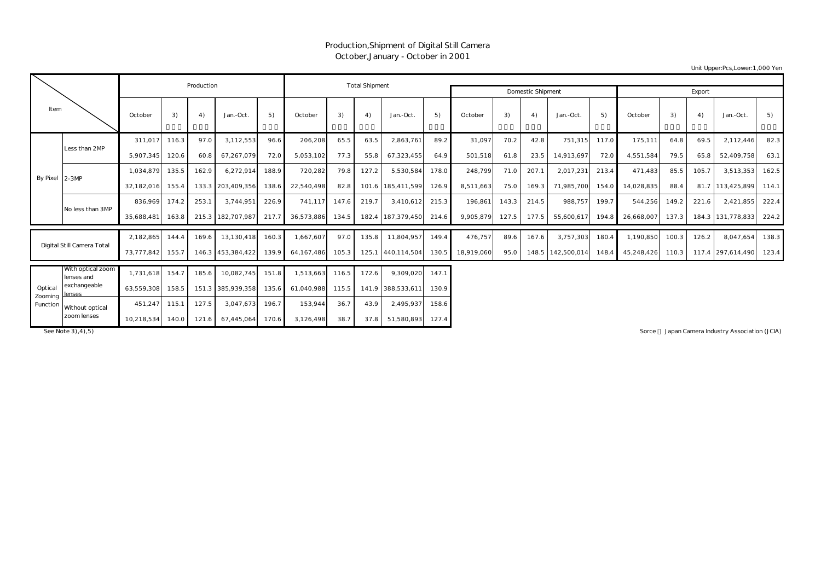## Production,Shipment of Digital Still Camera October,January - October in 2001

Unit Upper:Pcs,Lower:1,000 Yen

|                    |                                 |                  | Production | <b>Total Shipment</b> |                   |       |            |       |       |                   |       |            |       |                          |                   |        |            |       |       |                   |       |
|--------------------|---------------------------------|------------------|------------|-----------------------|-------------------|-------|------------|-------|-------|-------------------|-------|------------|-------|--------------------------|-------------------|--------|------------|-------|-------|-------------------|-------|
|                    |                                 |                  |            |                       |                   |       |            |       |       |                   |       |            |       | <b>Domestic Shipment</b> |                   | Export |            |       |       |                   |       |
| Item               |                                 | October          | 3)         | 4)                    | Jan.-Oct.         | 5)    | October    | 3)    | 4)    | Jan.-Oct.         | 5)    | October    | 3)    | 4)                       | Jan.-Oct.         | 5)     | October    | 3)    | 4)    | Jan.-Oct.         | 5)    |
|                    | Less than 2MP                   | 311,017          | 116.3      | 97.0                  | 3,112,553         | 96.6  | 206,208    | 65.5  | 63.5  | 2,863,761         | 89.2  | 31,097     | 70.2  | 42.8                     | 751,315           | 117.0  | 175,111    | 64.8  | 69.5  | 2,112,446         | 82.3  |
|                    |                                 | 5,907,345        | 120.6      | 60.8                  | 67,267,079        | 72.0  | 5,053,102  | 77.3  | 55.8  | 67,323,455        | 64.9  | 501,518    | 61.8  | 23.5                     | 14,913,697        | 72.0   | 4,551,584  | 79.5  | 65.8  | 52,409,758        | 63.1  |
|                    | By Pixel 2-3MP                  | 1.034.879        | 135.5      | 162.9                 | 6,272,914         | 188.9 | 720,282    | 79.8  | 127.2 | 5,530,584         | 178.0 | 248,799    | 71.0  | 207.1                    | 2,017,231         | 213.4  | 471.483    | 85.5  | 105.7 | 3,513,353         | 162.5 |
|                    |                                 | 32,182,016       | 155.4      |                       | 133.3 203,409,356 | 138.6 | 22,540,498 | 82.8  |       | 101.6 185,411,599 | 126.9 | 8,511,663  | 75.0  | 169.3                    | 71,985,700        | 154.0  | 14,028,835 | 88.4  |       | 81.7 113,425,899  | 114.1 |
|                    | No less than 3MP                | 836.969          | 174.2      | 253.1                 | 3.744.951         | 226.9 | 741.117    | 147.6 | 219.7 | 3.410.612         | 215.3 | 196,861    | 143.3 | 214.5                    | 988.757           | 199.7  | 544,256    | 149.2 | 221.6 | 2,421,855         | 222.4 |
|                    |                                 | 35,688,481       | 163.8      |                       | 215.3 182,707,987 | 217.7 | 36,573,886 | 134.5 |       | 182.4 187,379,450 | 214.6 | 9,905,879  | 127.5 | 177.5                    | 55,600,617        | 194.8  | 26,668,007 | 137.3 |       | 184.3 131,778,833 | 224.2 |
|                    |                                 | 2,182,865        | 144.4      | 169.6                 | 13,130,418        | 160.3 | 1,667,607  | 97.0  | 135.8 | 11,804,957        | 149.4 | 476,757    | 89.6  | 167.6                    | 3,757,303         | 180.4  | 1,190,850  | 100.3 | 126.2 | 8,047,654         | 138.3 |
|                    | Digital Still Camera Total      | 73,777,842       | 155.7      |                       | 146.3 453,384,422 | 139.9 | 64,167,486 | 105.3 |       | 125.1 440,114,504 | 130.5 | 18,919,060 | 95.0  |                          | 148.5 142,500,014 | 148.4  | 45,248,426 | 110.3 |       | 117.4 297,614,490 | 123.4 |
|                    | With optical zoom<br>lenses and | 1,731,618        | 154.7      | 185.6                 | 10,082,745        | 151.8 | 1,513,663  | 116.5 | 172.6 | 9,309,020         | 147.1 |            |       |                          |                   |        |            |       |       |                   |       |
| Optical<br>Zooming | exchangeable<br>lenses          | 63.559.308       | 158.5      |                       | 151.3 385,939,358 | 135.6 | 61.040.988 | 115.5 |       | 141.9 388,533,611 | 130.9 |            |       |                          |                   |        |            |       |       |                   |       |
| Function           | Without optical                 | 451,247          | 115.1      | 127.5                 | 3,047,673         | 196.7 | 153,944    | 36.7  | 43.9  | 2,495,937         | 158.6 |            |       |                          |                   |        |            |       |       |                   |       |
|                    | zoom lenses                     | 10,218,534 140.0 |            | 121.6                 | 67,445,064        | 170.6 | 3,126,498  | 38.7  | 37.8  | 51,580,893 127.4  |       |            |       |                          |                   |        |            |       |       |                   |       |

See Note 3),4),5) Sorce : Japan Camera Industry Association (JCIA) Sorce : Japan Camera Industry Association (JCIA)